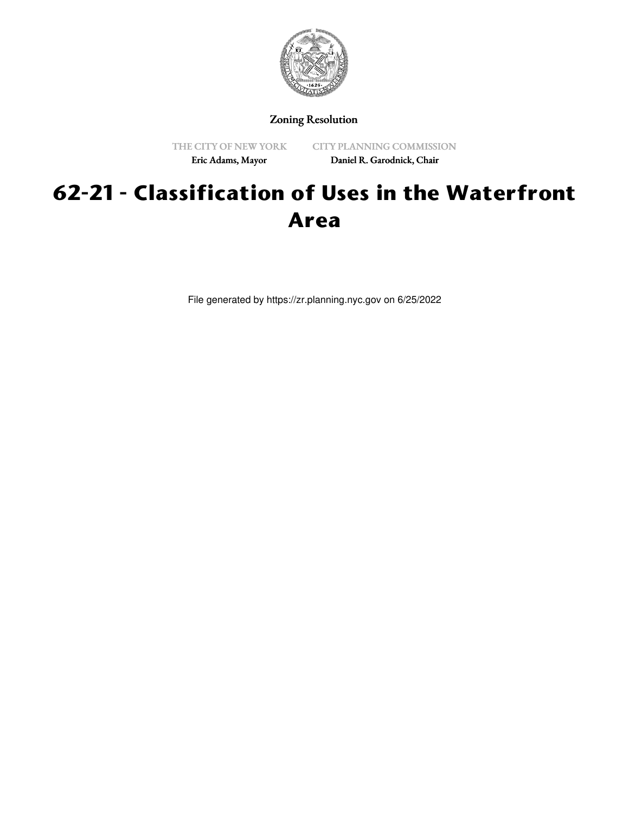

Zoning Resolution

THE CITY OF NEW YORK Eric Adams, Mayor

CITY PLANNING COMMISSION Daniel R. Garodnick, Chair

# **62-21 - Classification of Uses in the Waterfront Area**

File generated by https://zr.planning.nyc.gov on 6/25/2022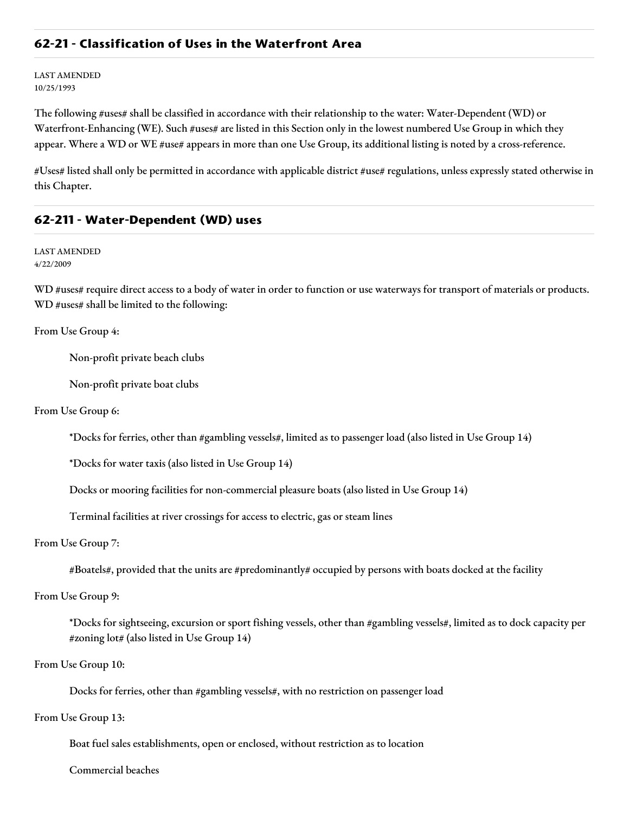# **62-21 - Classification of Uses in the Waterfront Area**

LAST AMENDED 10/25/1993

The following #uses# shall be classified in accordance with their relationship to the water: Water-Dependent (WD) or Waterfront-Enhancing (WE). Such #uses# are listed in this Section only in the lowest numbered Use Group in which they appear. Where a WD or WE #use# appears in more than one Use Group, its additional listing is noted by a cross-reference.

#Uses# listed shall only be permitted in accordance with applicable district #use# regulations, unless expressly stated otherwise in this Chapter.

# **62-211 - Water-Dependent (WD) uses**

LAST AMENDED 4/22/2009

WD #uses# require direct access to a body of water in order to function or use waterways for transport of materials or products. WD #uses# shall be limited to the following:

From Use Group 4:

Non-profit private beach clubs

Non-profit private boat clubs

From Use Group 6:

\*Docks for ferries, other than #gambling vessels#, limited as to passenger load (also listed in Use Group 14)

\*Docks for water taxis (also listed in Use Group 14)

Docks or mooring facilities for non-commercial pleasure boats (also listed in Use Group 14)

Terminal facilities at river crossings for access to electric, gas or steam lines

From Use Group 7:

#Boatels#, provided that the units are #predominantly# occupied by persons with boats docked at the facility

From Use Group 9:

\*Docks for sightseeing, excursion or sport fishing vessels, other than #gambling vessels#, limited as to dock capacity per #zoning lot# (also listed in Use Group 14)

From Use Group 10:

Docks for ferries, other than #gambling vessels#, with no restriction on passenger load

From Use Group 13:

Boat fuel sales establishments, open or enclosed, without restriction as to location

Commercial beaches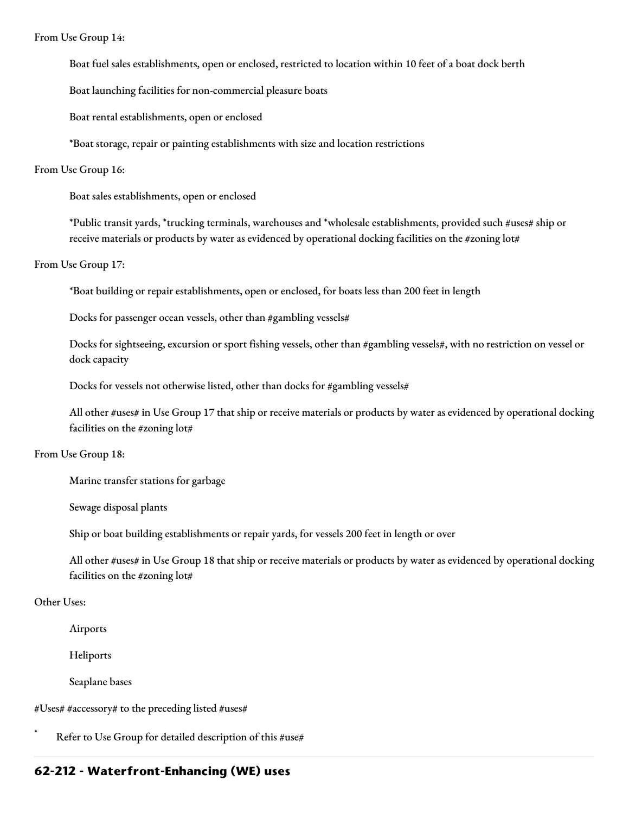From Use Group 14:

Boat fuel sales establishments, open or enclosed, restricted to location within 10 feet of a boat dock berth

Boat launching facilities for non-commercial pleasure boats

Boat rental establishments, open or enclosed

\*Boat storage, repair or painting establishments with size and location restrictions

#### From Use Group 16:

Boat sales establishments, open or enclosed

\*Public transit yards, \*trucking terminals, warehouses and \*wholesale establishments, provided such #uses# ship or receive materials or products by water as evidenced by operational docking facilities on the #zoning lot#

From Use Group 17:

\*Boat building or repair establishments, open or enclosed, for boats less than 200 feet in length

Docks for passenger ocean vessels, other than #gambling vessels#

Docks for sightseeing, excursion or sport fishing vessels, other than #gambling vessels#, with no restriction on vessel or dock capacity

Docks for vessels not otherwise listed, other than docks for #gambling vessels#

All other #uses# in Use Group 17 that ship or receive materials or products by water as evidenced by operational docking facilities on the #zoning lot#

#### From Use Group 18:

Marine transfer stations for garbage

Sewage disposal plants

Ship or boat building establishments or repair yards, for vessels 200 feet in length or over

All other #uses# in Use Group 18 that ship or receive materials or products by water as evidenced by operational docking facilities on the #zoning lot#

#### Other Uses:

Airports

Heliports

Seaplane bases

#Uses# #accessory# to the preceding listed #uses#

Refer to Use Group for detailed description of this #use#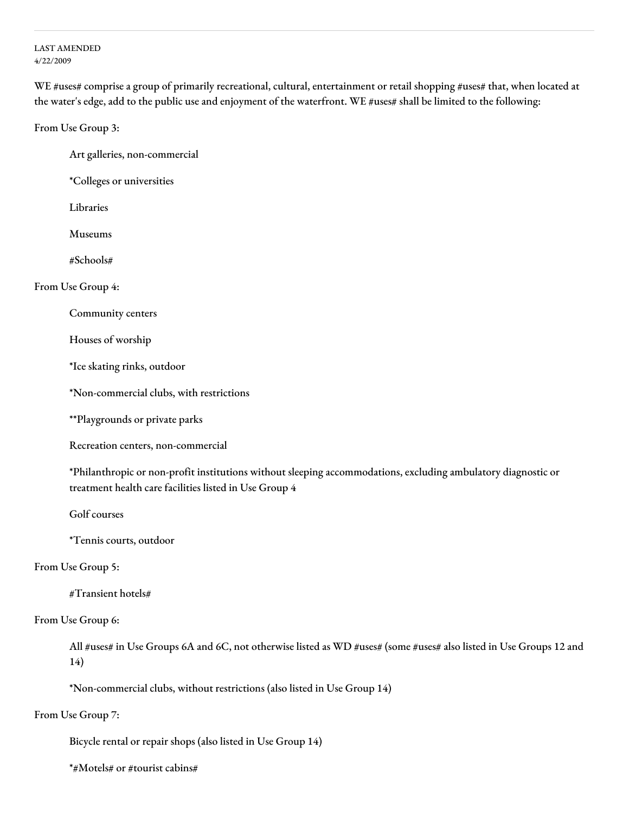#### LAST AMENDED 4/22/2009

WE #uses# comprise a group of primarily recreational, cultural, entertainment or retail shopping #uses# that, when located at the water's edge, add to the public use and enjoyment of the waterfront. WE #uses# shall be limited to the following:

From Use Group 3:

Art galleries, non-commercial

\*Colleges or universities

Libraries

Museums

#Schools#

From Use Group 4:

Community centers

Houses of worship

\*Ice skating rinks, outdoor

\*Non-commercial clubs, with restrictions

\*\*Playgrounds or private parks

Recreation centers, non-commercial

\*Philanthropic or non-profit institutions without sleeping accommodations, excluding ambulatory diagnostic or treatment health care facilities listed in Use Group 4

Golf courses

\*Tennis courts, outdoor

# From Use Group 5:

#Transient hotels#

#### From Use Group 6:

All #uses# in Use Groups 6A and 6C, not otherwise listed as WD #uses# (some #uses# also listed in Use Groups 12 and 14)

\*Non-commercial clubs, without restrictions (also listed in Use Group 14)

#### From Use Group 7:

Bicycle rental or repair shops (also listed in Use Group 14)

\*#Motels# or #tourist cabins#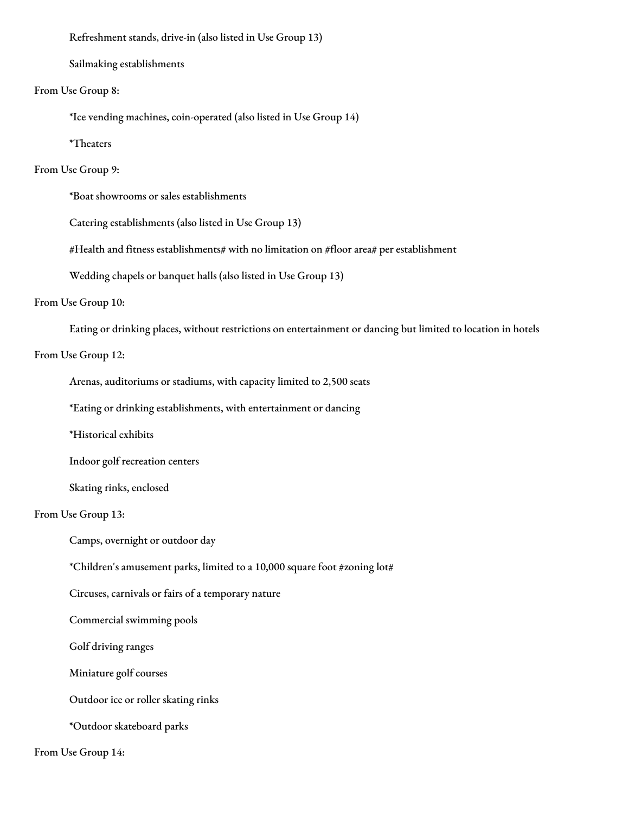Refreshment stands, drive-in (also listed in Use Group 13)

Sailmaking establishments

From Use Group 8:

\*Ice vending machines, coin-operated (also listed in Use Group 14)

\*Theaters

# From Use Group 9:

\*Boat showrooms or sales establishments

Catering establishments (also listed in Use Group 13)

#Health and fitness establishments# with no limitation on #floor area# per establishment

Wedding chapels or banquet halls (also listed in Use Group 13)

#### From Use Group 10:

Eating or drinking places, without restrictions on entertainment or dancing but limited to location in hotels

#### From Use Group 12:

Arenas, auditoriums or stadiums, with capacity limited to 2,500 seats

\*Eating or drinking establishments, with entertainment or dancing

\*Historical exhibits

Indoor golf recreation centers

Skating rinks, enclosed

# From Use Group 13:

Camps, overnight or outdoor day

\*Children's amusement parks, limited to a 10,000 square foot #zoning lot#

Circuses, carnivals or fairs of a temporary nature

Commercial swimming pools

Golf driving ranges

Miniature golf courses

Outdoor ice or roller skating rinks

\*Outdoor skateboard parks

From Use Group 14: